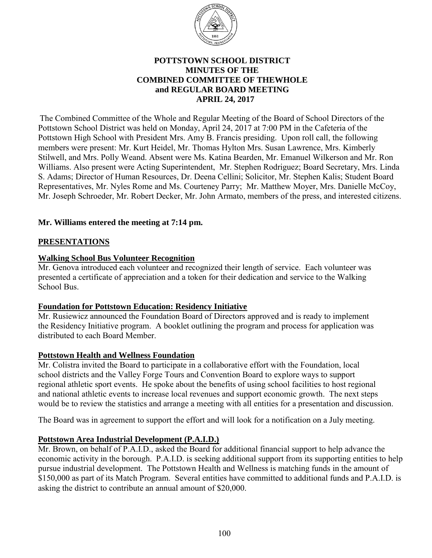

### **POTTSTOWN SCHOOL DISTRICT MINUTES OF THE COMBINED COMMITTEE OF THEWHOLE and REGULAR BOARD MEETING APRIL 24, 2017**

 The Combined Committee of the Whole and Regular Meeting of the Board of School Directors of the Pottstown School District was held on Monday, April 24, 2017 at 7:00 PM in the Cafeteria of the Pottstown High School with President Mrs. Amy B. Francis presiding. Upon roll call, the following members were present: Mr. Kurt Heidel, Mr. Thomas Hylton Mrs. Susan Lawrence, Mrs. Kimberly Stilwell, and Mrs. Polly Weand. Absent were Ms. Katina Bearden, Mr. Emanuel Wilkerson and Mr. Ron Williams. Also present were Acting Superintendent, Mr. Stephen Rodriguez; Board Secretary, Mrs. Linda S. Adams; Director of Human Resources, Dr. Deena Cellini; Solicitor, Mr. Stephen Kalis; Student Board Representatives, Mr. Nyles Rome and Ms. Courteney Parry; Mr. Matthew Moyer, Mrs. Danielle McCoy, Mr. Joseph Schroeder, Mr. Robert Decker, Mr. John Armato, members of the press, and interested citizens.

### **Mr. Williams entered the meeting at 7:14 pm.**

### **PRESENTATIONS**

### **Walking School Bus Volunteer Recognition**

Mr. Genova introduced each volunteer and recognized their length of service. Each volunteer was presented a certificate of appreciation and a token for their dedication and service to the Walking School Bus.

#### **Foundation for Pottstown Education: Residency Initiative**

Mr. Rusiewicz announced the Foundation Board of Directors approved and is ready to implement the Residency Initiative program. A booklet outlining the program and process for application was distributed to each Board Member.

#### **Pottstown Health and Wellness Foundation**

Mr. Colistra invited the Board to participate in a collaborative effort with the Foundation, local school districts and the Valley Forge Tours and Convention Board to explore ways to support regional athletic sport events. He spoke about the benefits of using school facilities to host regional and national athletic events to increase local revenues and support economic growth. The next steps would be to review the statistics and arrange a meeting with all entities for a presentation and discussion.

The Board was in agreement to support the effort and will look for a notification on a July meeting.

#### **Pottstown Area Industrial Development (P.A.I.D.)**

Mr. Brown, on behalf of P.A.I.D., asked the Board for additional financial support to help advance the economic activity in the borough. P.A.I.D. is seeking additional support from its supporting entities to help pursue industrial development. The Pottstown Health and Wellness is matching funds in the amount of \$150,000 as part of its Match Program. Several entities have committed to additional funds and P.A.I.D. is asking the district to contribute an annual amount of \$20,000.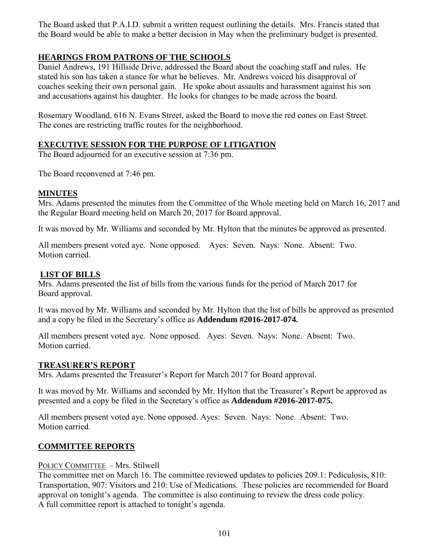The Board asked that P.A.I.D. submit a written request outlining the details. Mrs. Francis stated that the Board would be able to make a better decision in May when the preliminary budget is presented.

# **HEARINGS FROM PATRONS OF THE SCHOOLS**

Daniel Andrews, 191 Hillside Drive, addressed the Board about the coaching staff and rules. He stated his son has taken a stance for what he believes. Mr. Andrews voiced his disapproval of coaches seeking their own personal gain. He spoke about assaults and harassment against his son and accusations against his daughter. He looks for changes to be made across the board.

Rosemary Woodland, 616 N. Evans Street, asked the Board to move the red cones on East Street. The cones are restricting traffic routes for the neighborhood.

# **EXECUTIVE SESSION FOR THE PURPOSE OF LITIGATION**

The Board adjourned for an executive session at 7:36 pm.

The Board reconvened at 7:46 pm.

### **MINUTES**

Mrs. Adams presented the minutes from the Committee of the Whole meeting held on March 16, 2017 and the Regular Board meeting held on March 20, 2017 for Board approval.

It was moved by Mr. Williams and seconded by Mr. Hylton that the minutes be approved as presented.

All members present voted aye. None opposed. Ayes: Seven. Nays: None. Absent: Two. Motion carried.

# **LIST OF BILLS**

Mrs. Adams presented the list of bills from the various funds for the period of March 2017 for Board approval.

It was moved by Mr. Williams and seconded by Mr. Hylton that the list of bills be approved as presented and a copy be filed in the Secretary's office as **Addendum #2016-2017-074.** 

All members present voted aye. None opposed. Ayes: Seven. Nays: None. Absent: Two. Motion carried.

### **TREASURER'S REPORT**

Mrs. Adams presented the Treasurer's Report for March 2017 for Board approval.

It was moved by Mr. Williams and seconded by Mr. Hylton that the Treasurer's Report be approved as presented and a copy be filed in the Secretary's office as **Addendum #2016-2017-075.** 

All members present voted aye. None opposed. Ayes: Seven. Nays: None. Absent: Two. Motion carried.

### **COMMITTEE REPORTS**

#### POLICY COMMITTEE – Mrs. Stilwell

The committee met on March 16. The committee reviewed updates to policies 209.1: Pediculosis, 810: Transportation, 907: Visitors and 210: Use of Medications. These policies are recommended for Board approval on tonight's agenda. The committee is also continuing to review the dress code policy. A full committee report is attached to tonight's agenda.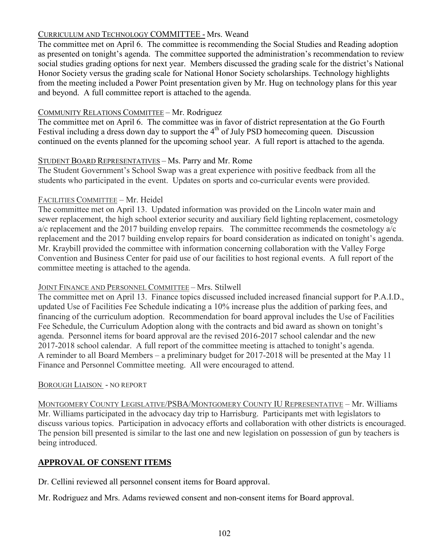# CURRICULUM AND TECHNOLOGY COMMITTEE - Mrs. Weand

The committee met on April 6. The committee is recommending the Social Studies and Reading adoption as presented on tonight's agenda. The committee supported the administration's recommendation to review social studies grading options for next year. Members discussed the grading scale for the district's National Honor Society versus the grading scale for National Honor Society scholarships. Technology highlights from the meeting included a Power Point presentation given by Mr. Hug on technology plans for this year and beyond. A full committee report is attached to the agenda.

# COMMUNITY RELATIONS COMMITTEE – Mr. Rodriguez

The committee met on April 6. The committee was in favor of district representation at the Go Fourth Festival including a dress down day to support the  $4<sup>th</sup>$  of July PSD homecoming queen. Discussion continued on the events planned for the upcoming school year. A full report is attached to the agenda.

# STUDENT BOARD REPRESENTATIVES – Ms. Parry and Mr. Rome

The Student Government's School Swap was a great experience with positive feedback from all the students who participated in the event. Updates on sports and co-curricular events were provided.

# FACILITIES COMMITTEE – Mr. Heidel

The committee met on April 13. Updated information was provided on the Lincoln water main and sewer replacement, the high school exterior security and auxiliary field lighting replacement, cosmetology a/c replacement and the 2017 building envelop repairs. The committee recommends the cosmetology a/c replacement and the 2017 building envelop repairs for board consideration as indicated on tonight's agenda. Mr. Kraybill provided the committee with information concerning collaboration with the Valley Forge Convention and Business Center for paid use of our facilities to host regional events. A full report of the committee meeting is attached to the agenda.

### JOINT FINANCE AND PERSONNEL COMMITTEE – Mrs. Stilwell

The committee met on April 13. Finance topics discussed included increased financial support for P.A.I.D., updated Use of Facilities Fee Schedule indicating a 10% increase plus the addition of parking fees, and financing of the curriculum adoption. Recommendation for board approval includes the Use of Facilities Fee Schedule, the Curriculum Adoption along with the contracts and bid award as shown on tonight's agenda. Personnel items for board approval are the revised 2016-2017 school calendar and the new 2017-2018 school calendar. A full report of the committee meeting is attached to tonight's agenda. A reminder to all Board Members – a preliminary budget for 2017-2018 will be presented at the May 11 Finance and Personnel Committee meeting. All were encouraged to attend.

### BOROUGH LIAISON - NO REPORT

MONTGOMERY COUNTY LEGISLATIVE/PSBA/MONTGOMERY COUNTY IU REPRESENTATIVE – Mr. Williams Mr. Williams participated in the advocacy day trip to Harrisburg. Participants met with legislators to discuss various topics. Participation in advocacy efforts and collaboration with other districts is encouraged. The pension bill presented is similar to the last one and new legislation on possession of gun by teachers is being introduced.

# **APPROVAL OF CONSENT ITEMS**

Dr. Cellini reviewed all personnel consent items for Board approval.

Mr. Rodriguez and Mrs. Adams reviewed consent and non-consent items for Board approval.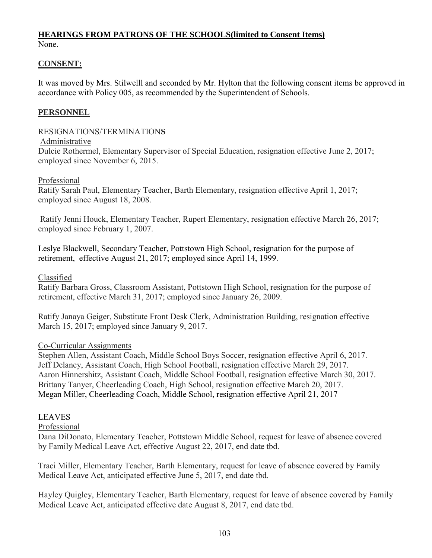# **HEARINGS FROM PATRONS OF THE SCHOOLS(limited to Consent Items)** None.

### **CONSENT:**

It was moved by Mrs. Stilwelll and seconded by Mr. Hylton that the following consent items be approved in accordance with Policy 005, as recommended by the Superintendent of Schools.

### **PERSONNEL**

### RESIGNATIONS/TERMINATION**S**

Administrative

Dulcie Rothermel, Elementary Supervisor of Special Education, resignation effective June 2, 2017; employed since November 6, 2015.

#### Professional

Ratify Sarah Paul, Elementary Teacher, Barth Elementary, resignation effective April 1, 2017; employed since August 18, 2008.

Ratify Jenni Houck, Elementary Teacher, Rupert Elementary, resignation effective March 26, 2017; employed since February 1, 2007.

Leslye Blackwell, Secondary Teacher, Pottstown High School, resignation for the purpose of retirement, effective August 21, 2017; employed since April 14, 1999.

### Classified

Ratify Barbara Gross, Classroom Assistant, Pottstown High School, resignation for the purpose of retirement, effective March 31, 2017; employed since January 26, 2009.

Ratify Janaya Geiger, Substitute Front Desk Clerk, Administration Building, resignation effective March 15, 2017; employed since January 9, 2017.

#### Co-Curricular Assignments

Stephen Allen, Assistant Coach, Middle School Boys Soccer, resignation effective April 6, 2017. Jeff Delaney, Assistant Coach, High School Football, resignation effective March 29, 2017. Aaron Hinnershitz, Assistant Coach, Middle School Football, resignation effective March 30, 2017. Brittany Tanyer, Cheerleading Coach, High School, resignation effective March 20, 2017. Megan Miller, Cheerleading Coach, Middle School, resignation effective April 21, 2017

#### **LEAVES**

Professional

Dana DiDonato, Elementary Teacher, Pottstown Middle School, request for leave of absence covered by Family Medical Leave Act, effective August 22, 2017, end date tbd.

Traci Miller, Elementary Teacher, Barth Elementary, request for leave of absence covered by Family Medical Leave Act, anticipated effective June 5, 2017, end date tbd.

Hayley Quigley, Elementary Teacher, Barth Elementary, request for leave of absence covered by Family Medical Leave Act, anticipated effective date August 8, 2017, end date tbd.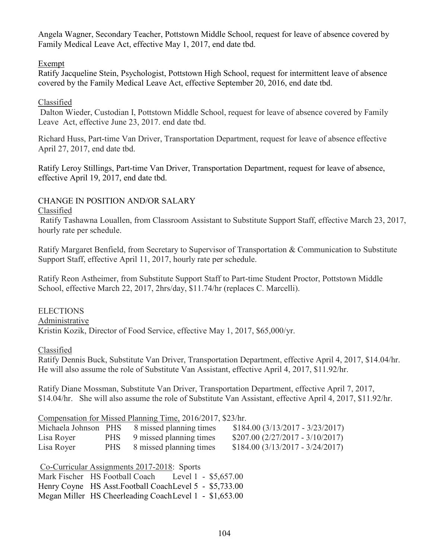Angela Wagner, Secondary Teacher, Pottstown Middle School, request for leave of absence covered by Family Medical Leave Act, effective May 1, 2017, end date tbd.

## Exempt

Ratify Jacqueline Stein, Psychologist, Pottstown High School, request for intermittent leave of absence covered by the Family Medical Leave Act, effective September 20, 2016, end date tbd.

# Classified

Dalton Wieder, Custodian I, Pottstown Middle School, request for leave of absence covered by Family Leave Act, effective June 23, 2017. end date tbd.

Richard Huss, Part-time Van Driver, Transportation Department, request for leave of absence effective April 27, 2017, end date tbd.

Ratify Leroy Stillings, Part-time Van Driver, Transportation Department, request for leave of absence, effective April 19, 2017, end date tbd.

# CHANGE IN POSITION AND/OR SALARY

### Classified

Ratify Tashawna Louallen, from Classroom Assistant to Substitute Support Staff, effective March 23, 2017, hourly rate per schedule.

Ratify Margaret Benfield, from Secretary to Supervisor of Transportation & Communication to Substitute Support Staff, effective April 11, 2017, hourly rate per schedule.

Ratify Reon Astheimer, from Substitute Support Staff to Part-time Student Proctor, Pottstown Middle School, effective March 22, 2017, 2hrs/day, \$11.74/hr (replaces C. Marcelli).

ELECTIONS Administrative Kristin Kozik, Director of Food Service, effective May 1, 2017, \$65,000/yr.

Classified

Ratify Dennis Buck, Substitute Van Driver, Transportation Department, effective April 4, 2017, \$14.04/hr. He will also assume the role of Substitute Van Assistant, effective April 4, 2017, \$11.92/hr.

Ratify Diane Mossman, Substitute Van Driver, Transportation Department, effective April 7, 2017, \$14.04/hr. She will also assume the role of Substitute Van Assistant, effective April 4, 2017, \$11.92/hr.

# Compensation for Missed Planning Time, 2016/2017, \$23/hr.

| Michaela Johnson PHS | 8 missed planning times     | $$184.00 (3/13/2017 - 3/23/2017)$ |
|----------------------|-----------------------------|-----------------------------------|
| Lisa Royer           | PHS 9 missed planning times | $$207.00 (2/27/2017 - 3/10/2017)$ |
| Lisa Royer           | PHS 8 missed planning times | $$184.00 (3/13/2017 - 3/24/2017)$ |

| Co-Curricular Assignments 2017-2018: Sports              |  |  |
|----------------------------------------------------------|--|--|
| Mark Fischer HS Football Coach Level 1 - \$5,657.00      |  |  |
| Henry Coyne HS Asst. Football Coach Level 5 - \$5,733.00 |  |  |
| Megan Miller HS Cheerleading CoachLevel 1 - \$1,653.00   |  |  |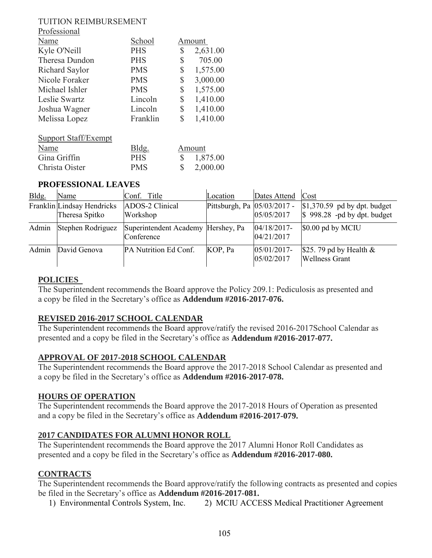#### TUITION REIMBURSEMENT Professional

| <b>Professional</b> |            |                |
|---------------------|------------|----------------|
| Name                | School     | Amount         |
| Kyle O'Neill        | <b>PHS</b> | \$<br>2,631.00 |
| Theresa Dundon      | <b>PHS</b> | \$<br>705.00   |
| Richard Saylor      | <b>PMS</b> | \$<br>1,575.00 |
| Nicole Foraker      | <b>PMS</b> | \$<br>3,000.00 |
| Michael Ishler      | <b>PMS</b> | \$<br>1,575.00 |
| Leslie Swartz       | Lincoln    | \$<br>1,410.00 |
| Joshua Wagner       | Lincoln    | \$<br>1,410.00 |
| Melissa Lopez       | Franklin   | \$<br>1,410.00 |
|                     |            |                |

| Support Staff/Exempt |            |          |
|----------------------|------------|----------|
| Name                 | Bldg.      | Amount   |
| Gina Griffin         | <b>PHS</b> | 1,875.00 |
| Christa Oister       | <b>PMS</b> | 2,000.00 |

### **PROFESSIONAL LEAVES**

|       | і Контавійський практав                      |                                                  |                             |                              |                                                                          |  |
|-------|----------------------------------------------|--------------------------------------------------|-----------------------------|------------------------------|--------------------------------------------------------------------------|--|
| Bldg. | Name                                         | Conf. Title                                      | Location                    | Dates Attend                 | Cost                                                                     |  |
|       | Franklin Lindsay Hendricks<br>Theresa Spitko | ADOS-2 Clinical<br>Workshop                      | Pittsburgh, Pa 05/03/2017 - | 05/05/2017                   | $\vert 1,370.59 \vert$ pd by dpt. budget<br>$$998.28$ -pd by dpt. budget |  |
| Admin | Stephen Rodriguez                            | Superintendent Academy Hershey, Pa<br>Conference |                             | $04/18/2017$ -<br>04/21/2017 | \$0.00 pd by MCIU                                                        |  |
| Admin | David Genova                                 | PA Nutrition Ed Conf.                            | KOP, Pa                     | 05/01/2017-<br>05/02/2017    | \$25.79 pd by Health $\&$<br><b>Wellness Grant</b>                       |  |

### **POLICIES**

The Superintendent recommends the Board approve the Policy 209.1: Pediculosis as presented and a copy be filed in the Secretary's office as **Addendum #2016-2017-076.**

### **REVISED 2016-2017 SCHOOL CALENDAR**

The Superintendent recommends the Board approve/ratify the revised 2016-2017School Calendar as presented and a copy be filed in the Secretary's office as **Addendum #2016-2017-077.**

### **APPROVAL OF 2017-2018 SCHOOL CALENDAR**

The Superintendent recommends the Board approve the 2017-2018 School Calendar as presented and a copy be filed in the Secretary's office as **Addendum #2016-2017-078.**

### **HOURS OF OPERATION**

The Superintendent recommends the Board approve the 2017-2018 Hours of Operation as presented and a copy be filed in the Secretary's office as **Addendum #2016-2017-079.**

### **2017 CANDIDATES FOR ALUMNI HONOR ROLL**

The Superintendent recommends the Board approve the 2017 Alumni Honor Roll Candidates as presented and a copy be filed in the Secretary's office as **Addendum #2016-2017-080.**

### **CONTRACTS**

The Superintendent recommends the Board approve/ratify the following contracts as presented and copies be filed in the Secretary's office as **Addendum #2016-2017-081.**

2) MCIU ACCESS Medical Practitioner Agreement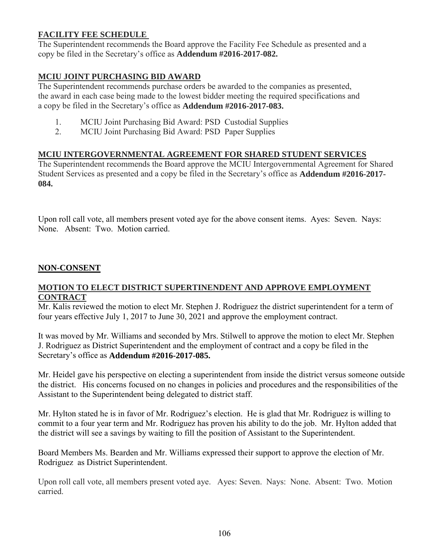# **FACILITY FEE SCHEDULE**

The Superintendent recommends the Board approve the Facility Fee Schedule as presented and a copy be filed in the Secretary's office as **Addendum #2016-2017-082.**

# **MCIU JOINT PURCHASING BID AWARD**

The Superintendent recommends purchase orders be awarded to the companies as presented, the award in each case being made to the lowest bidder meeting the required specifications and a copy be filed in the Secretary's office as **Addendum #2016-2017-083.** 

- 1. MCIU Joint Purchasing Bid Award: PSD Custodial Supplies
- 2. MCIU Joint Purchasing Bid Award: PSD Paper Supplies

### **MCIU INTERGOVERNMENTAL AGREEMENT FOR SHARED STUDENT SERVICES**

The Superintendent recommends the Board approve the MCIU Intergovernmental Agreement for Shared Student Services as presented and a copy be filed in the Secretary's office as **Addendum #2016-2017- 084.**

Upon roll call vote, all members present voted aye for the above consent items. Ayes: Seven. Nays: None. Absent: Two. Motion carried.

# **NON-CONSENT**

### **MOTION TO ELECT DISTRICT SUPERTINENDENT AND APPROVE EMPLOYMENT CONTRACT**

Mr. Kalis reviewed the motion to elect Mr. Stephen J. Rodriguez the district superintendent for a term of four years effective July 1, 2017 to June 30, 2021 and approve the employment contract.

It was moved by Mr. Williams and seconded by Mrs. Stilwell to approve the motion to elect Mr. Stephen J. Rodriguez as District Superintendent and the employment of contract and a copy be filed in the Secretary's office as **Addendum #2016-2017-085.** 

Mr. Heidel gave his perspective on electing a superintendent from inside the district versus someone outside the district. His concerns focused on no changes in policies and procedures and the responsibilities of the Assistant to the Superintendent being delegated to district staff.

Mr. Hylton stated he is in favor of Mr. Rodriguez's election. He is glad that Mr. Rodriguez is willing to commit to a four year term and Mr. Rodriguez has proven his ability to do the job. Mr. Hylton added that the district will see a savings by waiting to fill the position of Assistant to the Superintendent.

Board Members Ms. Bearden and Mr. Williams expressed their support to approve the election of Mr. Rodriguez as District Superintendent.

Upon roll call vote, all members present voted aye. Ayes: Seven. Nays: None. Absent: Two. Motion carried.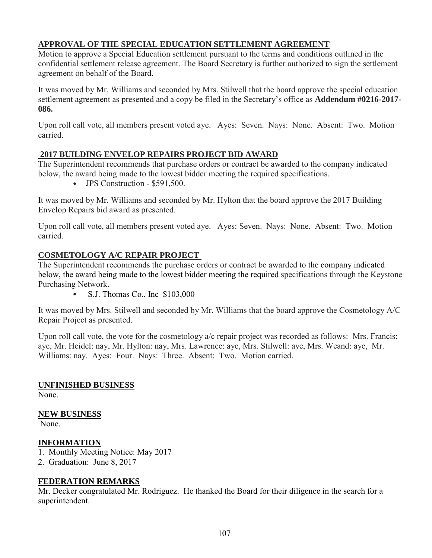# **APPROVAL OF THE SPECIAL EDUCATION SETTLEMENT AGREEMENT**

Motion to approve a Special Education settlement pursuant to the terms and conditions outlined in the confidential settlement release agreement. The Board Secretary is further authorized to sign the settlement agreement on behalf of the Board.

It was moved by Mr. Williams and seconded by Mrs. Stilwell that the board approve the special education settlement agreement as presented and a copy be filed in the Secretary's office as **Addendum #0216-2017- 086.**

Upon roll call vote, all members present voted aye. Ayes: Seven. Nays: None. Absent: Two. Motion carried.

### **2017 BUILDING ENVELOP REPAIRS PROJECT BID AWARD**

The Superintendent recommends that purchase orders or contract be awarded to the company indicated below, the award being made to the lowest bidder meeting the required specifications.

• JPS Construction - \$591,500.

It was moved by Mr. Williams and seconded by Mr. Hylton that the board approve the 2017 Building Envelop Repairs bid award as presented.

Upon roll call vote, all members present voted aye. Ayes: Seven. Nays: None. Absent: Two. Motion carried.

### **COSMETOLOGY A/C REPAIR PROJECT**

The Superintendent recommends the purchase orders or contract be awarded to the company indicated below, the award being made to the lowest bidder meeting the required specifications through the Keystone Purchasing Network.

S.J. Thomas Co., Inc \$103,000

It was moved by Mrs. Stilwell and seconded by Mr. Williams that the board approve the Cosmetology A/C Repair Project as presented.

Upon roll call vote, the vote for the cosmetology a/c repair project was recorded as follows: Mrs. Francis: aye, Mr. Heidel: nay, Mr. Hylton: nay, Mrs. Lawrence: aye, Mrs. Stilwell: aye, Mrs. Weand: aye, Mr. Williams: nay. Ayes: Four. Nays: Three. Absent: Two. Motion carried.

#### **UNFINISHED BUSINESS**

None.

#### **NEW BUSINESS**

None.

#### **INFORMATION**

- 1. Monthly Meeting Notice: May 2017
- 2. Graduation: June 8, 2017

#### **FEDERATION REMARKS**

Mr. Decker congratulated Mr. Rodriguez. He thanked the Board for their diligence in the search for a superintendent.